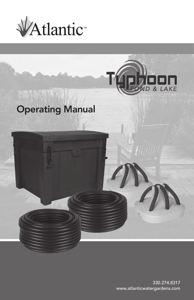



# Operating Manual



330.274.8317 www.atlanticwatergardens.com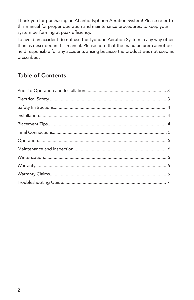Thank you for purchasing an Atlantic Typhoon Aeration System! Please refer to this manual for proper operation and maintenance procedures, to keep your system performing at peak efficiency.

To avoid an accident do not use the Typhoon Aeration System in any way other than as described in this manual. Please note that the manufacturer cannot be held responsible for any accidents arising because the product was not used as prescribed.

## Table of Contents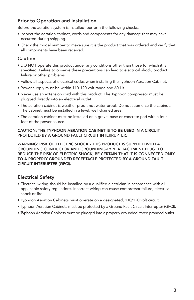## Prior to Operation and Installation

Before the aeration system is installed, perform the following checks:

- Inspect the aeration cabinet, cords and components for any damage that may have occurred during shipping.
- Check the model number to make sure it is the product that was ordered and verify that all components have been received.

#### Caution

- DO NOT operate this product under any conditions other than those for which it is specified. Failure to observe these precautions can lead to electrical shock, product failure or other problems.
- Follow all aspects of electrical codes when installing the Typhoon Aeration Cabinet.
- Power supply must be within 110-120 volt range and 60 Hz.
- Never use an extension cord with this product. The Typhoon compressor must be plugged directly into an electrical outlet.
- The aeration cabinet is weather-proof, not water-proof. Do not submerse the cabinet. The cabinet must be installed in a level, well drained area.
- The aeration cabinet must be installed on a gravel base or concrete pad within four feet of the power source.

#### CAUTION: THE TYPHOON AERATION CABINET IS TO BE USED IN A CIRCUIT PROTECTED BY A GROUND FAULT CIRCUIT INTERRUPTER.

WARNING: RISK OF ELECTRIC SHOCK - THIS PRODUCT IS SUPPLIED WITH A GROUNDING CONDUCTOR AND GROUNDING-TYPE ATTACHMENT PLUG. TO REDUCE THE RISK OF ELECTRIC SHOCK, BE CERTAIN THAT IT IS CONNECTED ONLY TO A PROPERLY GROUNDED RECEPTACLE PROTECTED BY A GROUND FAULT CIRCUIT INTERUPTER (GFCI).

### Electrical Safety

- Electrical wiring should be installed by a qualified electrician in accordance with all applicable safety regulations. Incorrect wiring can cause compressor failure, electrical shock or fire.
- Typhoon Aeration Cabinets must operate on a designated, 110/120 volt circuit.
- Typhoon Aeration Cabinets must be protected by a Ground Fault Circuit Interrupter (GFCI).
- Typhoon Aeration Cabinets must be plugged into a properly grounded, three-pronged outlet.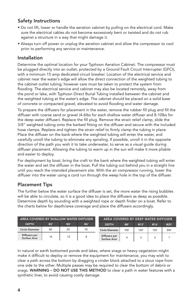## Safety Instructions

- Do not lift, lower or handle the aeration cabinet by pulling on the electrical cord. Make sure the electrical cables do not become excessively bent or twisted and do not rub against a structure in a way that might damage it.
- Always turn off power or unplug the aeration cabinet and allow the compressor to cool prior to performing any service or maintenance.

#### Installation

Determine the optimal location for your Typhoon Aeration Cabinet. The compressor must be plugged directly into an outlet, protected by a Ground Fault Circuit Interrupter (GFCI), with a minimum 15 amp dedicated circuit breaker. Location of the electrical service and cabinet near the water's edge will allow the direct connection of the weighted tubing to the cabinet outlet tubing; however care must be taken to protect the system from flooding. The electrical service and cabinet may also be located remotely, away from the pond or lake, with Typhoon Direct Burial Tubing installed between the cabinet and the weighted tubing at the water's edge. The cabinet should be placed on a solid base of concrete or compacted gravel, elevated to avoid flooding and water damage.

To prepare the diffusers for placement in the water, remove the rubber fill plug and fill the diffuser with coarse sand or gravel (4-6lbs for each shallow water diffuser and 8-10lbs for the deep water diffuser). Replace the fill plug. Remove the strain relief clamp, slide the 3/8" weighted tubing onto the barbed fitting on the diffuser and secure with the included hose clamps. Replace and tighten the strain relief to firmly clamp the tubing in place. Place the diffuser on the bank where the weighted tubing will enter the water, and carefully unroll the tubing to eliminate any spiraling. If possible, unroll it in the opposite direction of the path you wish it to take underwater, to serve as a visual guide during diffuser placement. Allowing the tubing to warm up in the sun will make it more pliable and easier to deploy.

For deployment by boat, bring the craft to the bank where the weighted tubing will enter the water and set the diffuser in the boat. Pull the tubing out behind you in a straight line until you reach the intended placement site. With the air compressor running, lower the diffuser into the water using a cord run through the weep hole in the top of the diffuser.

### Placement Tips

The further below the water surface the diffuser is set, the more water the rising bubbles will be able to circulate, so it is a good idea to place the diffusers as deep as possible. Determine depth by sounding with a weighted rope or depth finder on a boat. Refer to the charts below for depth/area coverage and place the diffusers accordingly.

| AREA COVERED BY SHALLOW WATER DIFFUSER |     |     |     | AREA COVERED BY DEEP WATER DIFFUSER  |      |      |      |      |
|----------------------------------------|-----|-----|-----|--------------------------------------|------|------|------|------|
| <b>DEPTH</b>                           | @2' | @4' | @6' | <b>DEPTH</b>                         | @8'  | @12' | @16' | @20  |
| Circle Diameter                        | 40  | 55' | 70' | <b>Circle Diameter</b>               | 100' | 120' | 150' | 200' |
| Diffusers per<br>Surface Acre          | 16  | 12  |     | Diffusers per<br><b>Surface Acre</b> |      |      |      |      |

In natural or earth bottomed ponds and lakes, where snags or heavy vegetation might make it difficult to deploy or remove the equipment for maintenance, you may wish to clear a path across the bottom by dragging a cinder block attached to a stout rope from one side to the other. Multiple passes may be required to clear the bottom of debris or snags. WARNING - DO NOT USE THIS METHOD to clear a path in water features with a synthetic liner, to avoid causing costly damage.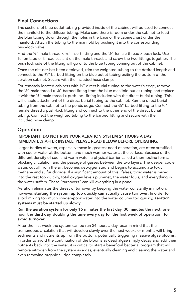## Final Connections

The sections of blue outlet tubing provided inside of the cabinet will be used to connect the manifold to the diffuser tubing. Make sure there is room under the cabinet to feed the blue tubing down through the holes in the base of the cabinet, just under the manifold. Attach the tubing to the manifold by pushing it into the corresponding push-lock valve.

Find the  $\frac{1}{2}$ " male thread x  $\frac{3}{8}$ " insert fitting and the  $\frac{1}{2}$ " female thread x push lock. Use Teflon tape or thread sealant on the male threads and screw the two fittings together. The push lock side of the fitting will go onto the blue tubing coming out of the cabinet.

Once the diffuser has been deployed, trim the weighted tubing to the desired length and connect to the  $\frac{3}{8}$ " barbed fitting on the blue outlet tubing exiting the bottom of the aeration cabinet. Secure with the included hose clamps.

For remotely located cabinets with ½" direct burial tubing to the water's edge, remove the  $\frac{1}{2}$ " male thread x  $\frac{3}{8}$ " barbed fitting from the blue manifold outlet tubing and replace it with the ½" male thread x push-lock fitting included with the direct burial tubing. This will enable attachment of the direct burial tubing to the cabinet. Run the direct burial tubing from the cabinet to the ponds edge. Connect the  $\frac{3}{8}$ " barbed fitting to the  $\frac{1}{2}$ " female thread x push-lock fitting and connect to the other end of the direct burial tubing. Connect the weighted tubing to the barbed fitting and secure with the included hose clamp.

## **Operation**

#### IMPORTANT! DO NOT RUN YOUR AERATION SYSTEM 24 HOURS A DAY IMMEDIATELY AFTER INSTALL. PLEASE READ BELOW BEFORE OPERATING.

Larger bodies of water, especially those in greatest need of aeration, are often stratified, with cooler water at the bottom and much warmer water at the surface. Because of the different density of cool and warm water, a physical barrier called a thermocline forms, blocking circulation and the passage of gasses between the two layers. The deeper cooler water, cut off from the air, becomes deoxygenated and begins to accumulate toxic methane and sulfur dioxide. If a significant amount of this lifeless, toxic water is mixed into the rest too quickly, total oxygen levels plummet, the water fouls, and everything in the water suffers. These "turnovers" can kill everything in a pond.

Aeration eliminates the threat of turnover by keeping the water constantly in motion, however, starting the system up too quickly can actually cause turnover. In order to avoid mixing too much oxygen-poor water into the water column too quickly, aeration systems must be started up slowly.

#### Run the aeration system for only 15 minutes the first day, 30 minutes the next, one hour the third day, doubling the time every day for the first week of operation, to avoid turnover.

After the first week the system can be run 24 hours a day, bear in mind that the tremendous circulation that will develop slowly over the next weeks or months will bring sediments and nutrients up from the bottom, potentially triggering massive algae blooms. In order to avoid the continuation of the blooms as dead algae simply decay and add their nutrients back into the water, it is critical to start a beneficial bacterial program that will remove nitrogen from the system as a gas, eventually cleaning and clearing the water and even removing organic sludge completely.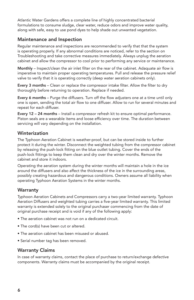Atlantic Water Gardens offers a complete line of highly concentrated bacterial formulations to consume sludge, clear water, reduce odors and improve water quality, along with safe, easy to use pond dyes to help shade out unwanted vegetation.

#### Maintenance and Inspection

Regular maintenance and inspections are recommended to verify that that the system is operating properly. If any abnormal conditions are noticed, refer to the section on Troubleshooting and take corrective measures immediately. Always unplug the aeration cabinet and allow the compressor to cool prior to performing any service or maintenance.

Monthly – Inspect/clean the air inlet filter on the rear of the cabinet. Adaquate air flow is imperative to maintain proper operating temperatures. Pull and release the pressure relief valve to verify that it is operating correctly (deep water aeration cabinets only).

Every 3 months – Clean or replace the compressor intake filter. Allow the filter to dry thoroughly before returning to operation. Replace if needed.

Every 6 months – Purge the diffusers. Turn off the flow adjusters one at a time until only one is open, sending the total air flow to one diffuser. Allow to run for several minutes and repeat for each diffuser.

Every 12 - 24 months - Install a compressor refresh kit to ensure optimal performance. Piston seals are a wearable items and loose efficiency over time. The duration between servicing will vary depending on the installation.

#### Winterization

The Typhoon Aeration Cabinet is weather-proof, but can be stored inside to further protect it during the winter. Disconnect the weighted tubing from the compressor cabinet by releasing the push-lock fitting on the blue outlet tubing. Cover the ends of the push-lock fittings to keep them clean and dry over the winter months. Remove the cabinet and store it indoors.

Operating the aeration system during the winter months will maintain a hole in the ice around the diffusers and also affect the thickness of the ice in the surrounding areas, possibly creating hazardous and dangerous conditions. Owners assume all liability when operating Typhoon Aeration Systems in the winter months.

#### Warranty

Typhoon Aeration Cabinets and Compressors carry a two-year limited warranty. Typhoon Aeration Diffusers and weighted tubing carries a five-year limited warranty. This limited warranty is extended solely to the original purchaser commencing from the date of original purchase receipt and is void if any of the following apply:

- The aeration cabinet was not run on a dedicated circuit.
- The cord(s) have been cut or altered.
- The aeration cabinet has been misused or abused.
- Serial number tag has been removed.

#### Warranty Claims

In case of warranty claims, contact the place of purchase to return/exchange defective components. Warranty claims must be accompanied by the original receipt.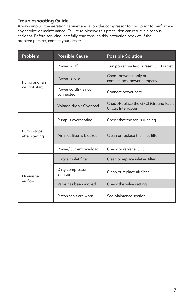### Troubleshooting Guide

Always unplug the aeration cabinet and allow the compressor to cool prior to performing any service or maintenance. Failure to observe this precaution can result in a serious accident. Before servicing, carefully read through this instruction booklet. If the problem persists, contact your dealer.

| Problem                      | <b>Possible Cause</b>             | <b>Possible Solution</b>                                     |  |  |  |
|------------------------------|-----------------------------------|--------------------------------------------------------------|--|--|--|
|                              | Power is off                      | Turn power on/Test or reset GFCI outlet                      |  |  |  |
| Pump and fan                 | Power failure                     | Check power supply or<br>contact local power company         |  |  |  |
| will not start               | Power cord(s) is not<br>connected | Connect power cord                                           |  |  |  |
|                              | Voltage drop / Overload           | Check/Replace the GFCI (Ground Fault<br>Circuit Interrupter) |  |  |  |
|                              | Pump is overheating               | Check that the fan is running                                |  |  |  |
| Pump stops<br>after starting | Air inlet filter is blocked       | Clean or replace the inlet filter                            |  |  |  |
|                              | Power/Current overload            | Check or replace GFCI                                        |  |  |  |
|                              | Dirty air inlet filter            | Clean or replace inlet air filter                            |  |  |  |
| Diminished                   | Dirty compressor<br>air filter    | Clean or replace air filter                                  |  |  |  |
| air flow                     | Valve has been moved              | Check the valve setting                                      |  |  |  |
|                              | Piston seals are worn             | See Maintance section                                        |  |  |  |